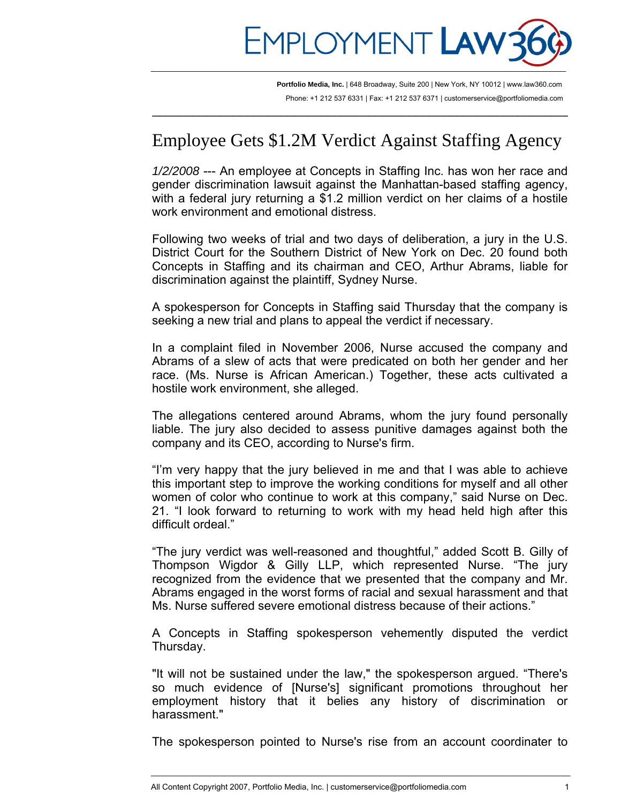

 $\overline{\phantom{a}}$  , and the contribution of the contribution of the contribution of the contribution of the contribution of  $\overline{\phantom{a}}$ 

**Portfolio Media, Inc.** | 648 Broadway, Suite 200 | New York, NY 10012 | www.law360.com Phone: +1 212 537 6331 | Fax: +1 212 537 6371 | customerservice@portfoliomedia.com

## Employee Gets \$1.2M Verdict Against Staffing Agency

*1/2/2008* --- An employee at Concepts in Staffing Inc. has won her race and gender discrimination lawsuit against the Manhattan-based staffing agency, with a federal jury returning a \$1.2 million verdict on her claims of a hostile work environment and emotional distress.

Following two weeks of trial and two days of deliberation, a jury in the U.S. District Court for the Southern District of New York on Dec. 20 found both Concepts in Staffing and its chairman and CEO, Arthur Abrams, liable for discrimination against the plaintiff, Sydney Nurse.

A spokesperson for Concepts in Staffing said Thursday that the company is seeking a new trial and plans to appeal the verdict if necessary.

In a complaint filed in November 2006, Nurse accused the company and Abrams of a slew of acts that were predicated on both her gender and her race. (Ms. Nurse is African American.) Together, these acts cultivated a hostile work environment, she alleged.

The allegations centered around Abrams, whom the jury found personally liable. The jury also decided to assess punitive damages against both the company and its CEO, according to Nurse's firm.

"I'm very happy that the jury believed in me and that I was able to achieve this important step to improve the working conditions for myself and all other women of color who continue to work at this company," said Nurse on Dec. 21. "I look forward to returning to work with my head held high after this difficult ordeal."

"The jury verdict was well-reasoned and thoughtful," added Scott B. Gilly of Thompson Wigdor & Gilly LLP, which represented Nurse. "The jury recognized from the evidence that we presented that the company and Mr. Abrams engaged in the worst forms of racial and sexual harassment and that Ms. Nurse suffered severe emotional distress because of their actions."

A Concepts in Staffing spokesperson vehemently disputed the verdict Thursday.

"It will not be sustained under the law," the spokesperson argued. "There's so much evidence of [Nurse's] significant promotions throughout her employment history that it belies any history of discrimination or harassment."

The spokesperson pointed to Nurse's rise from an account coordinater to

\_\_\_\_\_\_\_\_\_\_\_\_\_\_\_\_\_\_\_\_\_\_\_\_\_\_\_\_\_\_\_\_\_\_\_\_\_\_\_\_\_\_\_\_\_\_\_\_\_\_\_\_\_\_\_\_\_\_\_\_\_\_\_\_\_\_\_\_\_\_\_\_\_\_\_\_\_\_\_\_\_\_\_\_\_\_\_\_\_\_\_\_\_